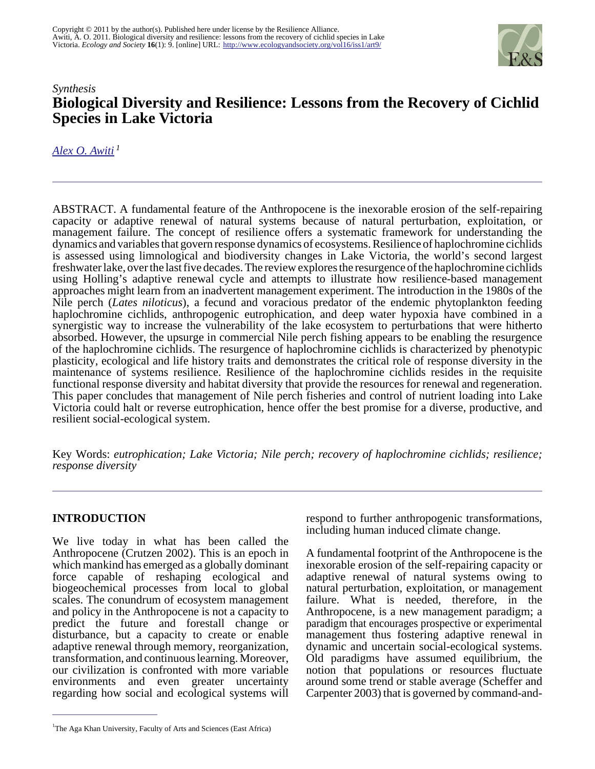

# *Synthesis* **Biological Diversity and Resilience: Lessons from the Recovery of Cichlid Species in Lake Victoria**

*[Alex O. Awiti](mailto:aawiti@gmail.com)<sup>1</sup>*

ABSTRACT. A fundamental feature of the Anthropocene is the inexorable erosion of the self-repairing capacity or adaptive renewal of natural systems because of natural perturbation, exploitation, or management failure. The concept of resilience offers a systematic framework for understanding the dynamics and variables that govern response dynamics of ecosystems. Resilience of haplochromine cichlids is assessed using limnological and biodiversity changes in Lake Victoria, the world's second largest freshwater lake, over the last five decades. The review explores the resurgence of the haplochromine cichlids using Holling's adaptive renewal cycle and attempts to illustrate how resilience-based management approaches might learn from an inadvertent management experiment. The introduction in the 1980s of the Nile perch (*Lates niloticus*), a fecund and voracious predator of the endemic phytoplankton feeding haplochromine cichlids, anthropogenic eutrophication, and deep water hypoxia have combined in a synergistic way to increase the vulnerability of the lake ecosystem to perturbations that were hitherto absorbed. However, the upsurge in commercial Nile perch fishing appears to be enabling the resurgence of the haplochromine cichlids. The resurgence of haplochromine cichlids is characterized by phenotypic plasticity, ecological and life history traits and demonstrates the critical role of response diversity in the maintenance of systems resilience. Resilience of the haplochromine cichlids resides in the requisite functional response diversity and habitat diversity that provide the resources for renewal and regeneration. This paper concludes that management of Nile perch fisheries and control of nutrient loading into Lake Victoria could halt or reverse eutrophication, hence offer the best promise for a diverse, productive, and resilient social-ecological system.

Key Words: *eutrophication; Lake Victoria; Nile perch; recovery of haplochromine cichlids; resilience; response diversity*

# **INTRODUCTION**

We live today in what has been called the Anthropocene (Crutzen 2002). This is an epoch in which mankind has emerged as a globally dominant force capable of reshaping ecological and biogeochemical processes from local to global scales. The conundrum of ecosystem management and policy in the Anthropocene is not a capacity to predict the future and forestall change or disturbance, but a capacity to create or enable adaptive renewal through memory, reorganization, transformation, and continuous learning. Moreover, our civilization is confronted with more variable environments and even greater uncertainty regarding how social and ecological systems will

<sup>1</sup>The Aga Khan University, Faculty of Arts and Sciences (East Africa)

respond to further anthropogenic transformations, including human induced climate change.

A fundamental footprint of the Anthropocene is the inexorable erosion of the self-repairing capacity or adaptive renewal of natural systems owing to natural perturbation, exploitation, or management failure. What is needed, therefore, in the Anthropocene, is a new management paradigm; a paradigm that encourages prospective or experimental management thus fostering adaptive renewal in dynamic and uncertain social-ecological systems. Old paradigms have assumed equilibrium, the notion that populations or resources fluctuate around some trend or stable average (Scheffer and Carpenter 2003) that is governed by command-and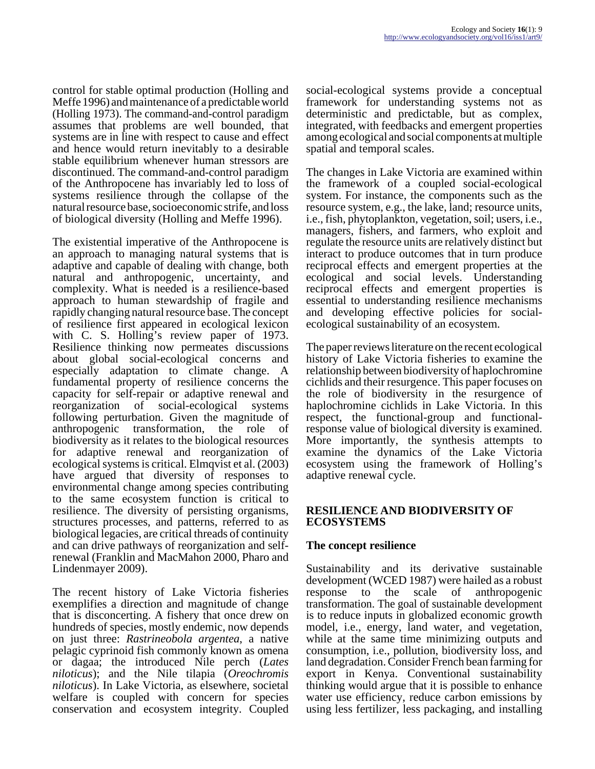control for stable optimal production (Holling and Meffe 1996) and maintenance of a predictable world (Holling 1973). The command-and-control paradigm assumes that problems are well bounded, that systems are in line with respect to cause and effect and hence would return inevitably to a desirable stable equilibrium whenever human stressors are discontinued. The command-and-control paradigm of the Anthropocene has invariably led to loss of systems resilience through the collapse of the natural resource base, socioeconomic strife, and loss of biological diversity (Holling and Meffe 1996).

The existential imperative of the Anthropocene is an approach to managing natural systems that is adaptive and capable of dealing with change, both natural and anthropogenic, uncertainty, and complexity. What is needed is a resilience-based approach to human stewardship of fragile and rapidly changing natural resource base. The concept of resilience first appeared in ecological lexicon with C. S. Holling's review paper of 1973. Resilience thinking now permeates discussions about global social-ecological concerns and especially adaptation to climate change. A fundamental property of resilience concerns the capacity for self-repair or adaptive renewal and reorganization of social-ecological systems following perturbation. Given the magnitude of anthropogenic transformation, the role of biodiversity as it relates to the biological resources for adaptive renewal and reorganization of ecological systems is critical. Elmqvist et al. (2003) have argued that diversity of responses to environmental change among species contributing to the same ecosystem function is critical to resilience. The diversity of persisting organisms, structures processes, and patterns, referred to as biological legacies, are critical threads of continuity and can drive pathways of reorganization and selfrenewal (Franklin and MacMahon 2000, Pharo and Lindenmayer 2009).

The recent history of Lake Victoria fisheries exemplifies a direction and magnitude of change that is disconcerting. A fishery that once drew on hundreds of species, mostly endemic, now depends on just three: *Rastrineobola argentea*, a native pelagic cyprinoid fish commonly known as omena or dagaa; the introduced Nile perch (*Lates niloticus*); and the Nile tilapia (*Oreochromis niloticus*). In Lake Victoria, as elsewhere, societal welfare is coupled with concern for species conservation and ecosystem integrity. Coupled

social-ecological systems provide a conceptual framework for understanding systems not as deterministic and predictable, but as complex, integrated, with feedbacks and emergent properties among ecological and social components at multiple spatial and temporal scales.

The changes in Lake Victoria are examined within the framework of a coupled social-ecological system. For instance, the components such as the resource system, e.g., the lake, land; resource units, i.e., fish, phytoplankton, vegetation, soil; users, i.e., managers, fishers, and farmers, who exploit and regulate the resource units are relatively distinct but interact to produce outcomes that in turn produce reciprocal effects and emergent properties at the ecological and social levels. Understanding reciprocal effects and emergent properties is essential to understanding resilience mechanisms and developing effective policies for socialecological sustainability of an ecosystem.

The paper reviews literature on the recent ecological history of Lake Victoria fisheries to examine the relationship between biodiversity of haplochromine cichlids and their resurgence. This paper focuses on the role of biodiversity in the resurgence of haplochromine cichlids in Lake Victoria. In this respect, the functional-group and functionalresponse value of biological diversity is examined. More importantly, the synthesis attempts to examine the dynamics of the Lake Victoria ecosystem using the framework of Holling's adaptive renewal cycle.

### **RESILIENCE AND BIODIVERSITY OF ECOSYSTEMS**

# **The concept resilience**

Sustainability and its derivative sustainable development (WCED 1987) were hailed as a robust response to the scale of anthropogenic transformation. The goal of sustainable development is to reduce inputs in globalized economic growth model, i.e., energy, land water, and vegetation, while at the same time minimizing outputs and consumption, i.e., pollution, biodiversity loss, and land degradation. Consider French bean farming for export in Kenya. Conventional sustainability thinking would argue that it is possible to enhance water use efficiency, reduce carbon emissions by using less fertilizer, less packaging, and installing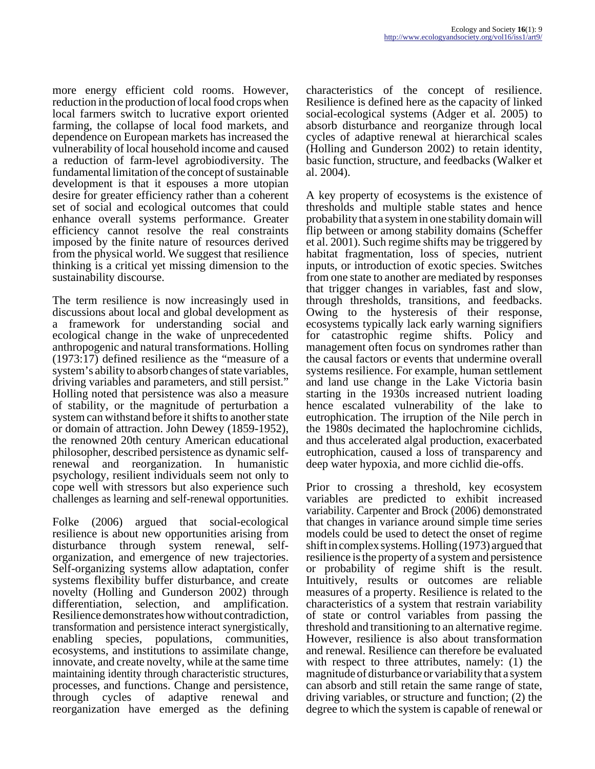more energy efficient cold rooms. However, reduction in the production of local food crops when local farmers switch to lucrative export oriented farming, the collapse of local food markets, and dependence on European markets has increased the vulnerability of local household income and caused a reduction of farm-level agrobiodiversity. The fundamental limitation of the concept of sustainable development is that it espouses a more utopian desire for greater efficiency rather than a coherent set of social and ecological outcomes that could enhance overall systems performance. Greater efficiency cannot resolve the real constraints imposed by the finite nature of resources derived from the physical world. We suggest that resilience thinking is a critical yet missing dimension to the sustainability discourse.

The term resilience is now increasingly used in discussions about local and global development as a framework for understanding social and ecological change in the wake of unprecedented anthropogenic and natural transformations. Holling (1973:17) defined resilience as the "measure of a system's ability to absorb changes of state variables, driving variables and parameters, and still persist." Holling noted that persistence was also a measure of stability, or the magnitude of perturbation a system can withstand before it shifts to another state or domain of attraction. John Dewey (1859-1952), the renowned 20th century American educational philosopher, described persistence as dynamic selfrenewal and reorganization. In humanistic psychology, resilient individuals seem not only to cope well with stressors but also experience such challenges as learning and self-renewal opportunities.

Folke (2006) argued that social-ecological resilience is about new opportunities arising from disturbance through system renewal, selforganization, and emergence of new trajectories. Self-organizing systems allow adaptation, confer systems flexibility buffer disturbance, and create novelty (Holling and Gunderson 2002) through differentiation, selection, and amplification. Resilience demonstrates how without contradiction, transformation and persistence interact synergistically, enabling species, populations, communities, ecosystems, and institutions to assimilate change, innovate, and create novelty, while at the same time maintaining identity through characteristic structures, processes, and functions. Change and persistence, through cycles of adaptive renewal and reorganization have emerged as the defining

characteristics of the concept of resilience. Resilience is defined here as the capacity of linked social-ecological systems (Adger et al. 2005) to absorb disturbance and reorganize through local cycles of adaptive renewal at hierarchical scales (Holling and Gunderson 2002) to retain identity, basic function, structure, and feedbacks (Walker et al. 2004).

A key property of ecosystems is the existence of thresholds and multiple stable states and hence probability that a system in one stability domain will flip between or among stability domains (Scheffer et al. 2001). Such regime shifts may be triggered by habitat fragmentation, loss of species, nutrient inputs, or introduction of exotic species. Switches from one state to another are mediated by responses that trigger changes in variables, fast and slow, through thresholds, transitions, and feedbacks. Owing to the hysteresis of their response, ecosystems typically lack early warning signifiers for catastrophic regime shifts. Policy and management often focus on syndromes rather than the causal factors or events that undermine overall systems resilience. For example, human settlement and land use change in the Lake Victoria basin starting in the 1930s increased nutrient loading hence escalated vulnerability of the lake to eutrophication. The irruption of the Nile perch in the 1980s decimated the haplochromine cichlids, and thus accelerated algal production, exacerbated eutrophication, caused a loss of transparency and deep water hypoxia, and more cichlid die-offs.

Prior to crossing a threshold, key ecosystem variables are predicted to exhibit increased variability. Carpenter and Brock (2006) demonstrated that changes in variance around simple time series models could be used to detect the onset of regime shift in complex systems. Holling (1973) argued that resilience is the property of a system and persistence or probability of regime shift is the result. Intuitively, results or outcomes are reliable measures of a property. Resilience is related to the characteristics of a system that restrain variability of state or control variables from passing the threshold and transitioning to an alternative regime. However, resilience is also about transformation and renewal. Resilience can therefore be evaluated with respect to three attributes, namely: (1) the magnitude of disturbance or variability that a system can absorb and still retain the same range of state, driving variables, or structure and function; (2) the degree to which the system is capable of renewal or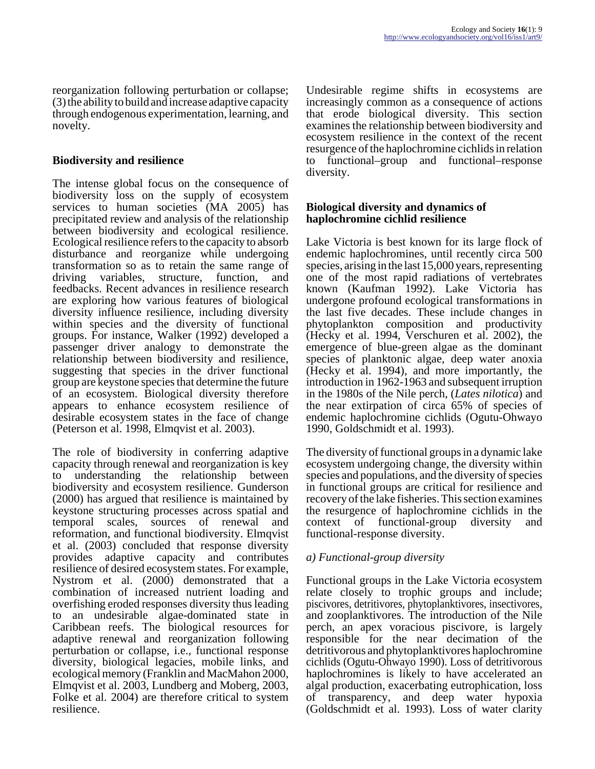reorganization following perturbation or collapse; (3) the ability to build and increase adaptive capacity through endogenous experimentation, learning, and novelty.

## **Biodiversity and resilience**

The intense global focus on the consequence of biodiversity loss on the supply of ecosystem services to human societies (MA 2005) has precipitated review and analysis of the relationship between biodiversity and ecological resilience. Ecological resilience refers to the capacity to absorb disturbance and reorganize while undergoing transformation so as to retain the same range of driving variables, structure, function, and feedbacks. Recent advances in resilience research are exploring how various features of biological diversity influence resilience, including diversity within species and the diversity of functional groups. For instance, Walker (1992) developed a passenger driver analogy to demonstrate the relationship between biodiversity and resilience, suggesting that species in the driver functional group are keystone species that determine the future of an ecosystem. Biological diversity therefore appears to enhance ecosystem resilience of desirable ecosystem states in the face of change (Peterson et al. 1998, Elmqvist et al. 2003).

The role of biodiversity in conferring adaptive capacity through renewal and reorganization is key to understanding the relationship between biodiversity and ecosystem resilience. Gunderson (2000) has argued that resilience is maintained by keystone structuring processes across spatial and temporal scales, sources of renewal and reformation, and functional biodiversity. Elmqvist et al. (2003) concluded that response diversity provides adaptive capacity and contributes resilience of desired ecosystem states. For example, Nystrom et al. (2000) demonstrated that a combination of increased nutrient loading and overfishing eroded responses diversity thus leading to an undesirable algae-dominated state in Caribbean reefs. The biological resources for adaptive renewal and reorganization following perturbation or collapse, i.e., functional response diversity, biological legacies, mobile links, and ecological memory (Franklin and MacMahon 2000, Elmqvist et al. 2003, Lundberg and Moberg, 2003, Folke et al. 2004) are therefore critical to system resilience.

Undesirable regime shifts in ecosystems are increasingly common as a consequence of actions that erode biological diversity. This section examines the relationship between biodiversity and ecosystem resilience in the context of the recent resurgence of the haplochromine cichlids in relation to functional–group and functional–response diversity.

### **Biological diversity and dynamics of haplochromine cichlid resilience**

Lake Victoria is best known for its large flock of endemic haplochromines, until recently circa 500 species, arising in the last 15,000 years, representing one of the most rapid radiations of vertebrates known (Kaufman 1992). Lake Victoria has undergone profound ecological transformations in the last five decades. These include changes in phytoplankton composition and productivity (Hecky et al. 1994, Verschuren et al. 2002), the emergence of blue-green algae as the dominant species of planktonic algae, deep water anoxia (Hecky et al. 1994), and more importantly, the introduction in 1962-1963 and subsequent irruption in the 1980s of the Nile perch, (*Lates nilotica*) and the near extirpation of circa 65% of species of endemic haplochromine cichlids (Ogutu-Ohwayo 1990, Goldschmidt et al. 1993).

The diversity of functional groups in a dynamic lake ecosystem undergoing change, the diversity within species and populations, and the diversity of species in functional groups are critical for resilience and recovery of the lake fisheries. This section examines the resurgence of haplochromine cichlids in the context of functional-group diversity and functional-response diversity.

## *a) Functional-group diversity*

Functional groups in the Lake Victoria ecosystem relate closely to trophic groups and include; piscivores, detritivores, phytoplanktivores, insectivores, and zooplanktivores. The introduction of the Nile perch, an apex voracious piscivore, is largely responsible for the near decimation of the detritivorous and phytoplanktivores haplochromine cichlids (Ogutu-Ohwayo 1990). Loss of detritivorous haplochromines is likely to have accelerated an algal production, exacerbating eutrophication, loss of transparency, and deep water hypoxia (Goldschmidt et al. 1993). Loss of water clarity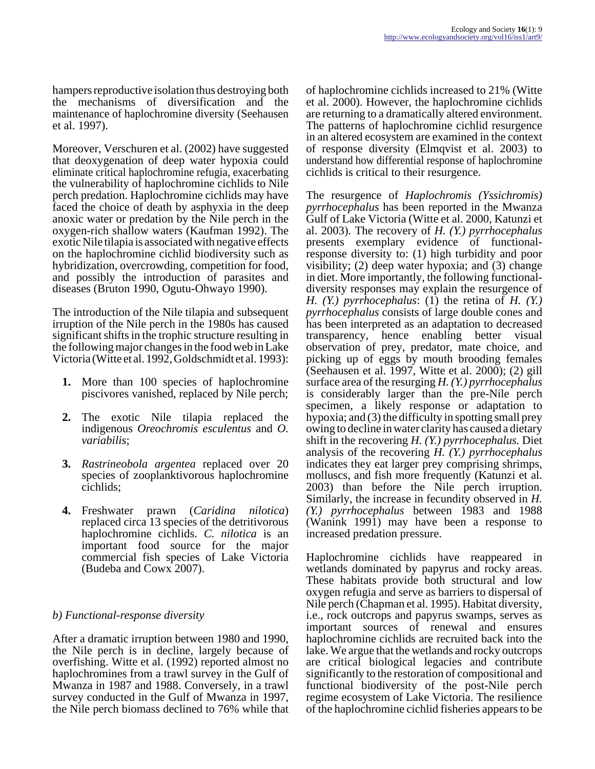hampers reproductive isolation thus destroying both the mechanisms of diversification and the maintenance of haplochromine diversity (Seehausen et al. 1997).

Moreover, Verschuren et al. (2002) have suggested that deoxygenation of deep water hypoxia could eliminate critical haplochromine refugia, exacerbating the vulnerability of haplochromine cichlids to Nile perch predation. Haplochromine cichlids may have faced the choice of death by asphyxia in the deep anoxic water or predation by the Nile perch in the oxygen-rich shallow waters (Kaufman 1992). The exotic Nile tilapia is associated with negative effects on the haplochromine cichlid biodiversity such as hybridization, overcrowding, competition for food, and possibly the introduction of parasites and diseases (Bruton 1990, Ogutu-Ohwayo 1990).

The introduction of the Nile tilapia and subsequent irruption of the Nile perch in the 1980s has caused significant shifts in the trophic structure resulting in the following major changes in the food web in Lake Victoria (Witte et al. 1992, Goldschmidt et al. 1993):

- **1.** More than 100 species of haplochromine piscivores vanished, replaced by Nile perch;
- **2.** The exotic Nile tilapia replaced the indigenous *Oreochromis esculentus* and *O. variabilis*;
- **3.** *Rastrineobola argentea* replaced over 20 species of zooplanktivorous haplochromine cichlids;
- **4.** Freshwater prawn (*Caridina nilotica*) replaced circa 13 species of the detritivorous haplochromine cichlids. *C. nilotica* is an important food source for the major commercial fish species of Lake Victoria (Budeba and Cowx 2007).

## *b) Functional-response diversity*

After a dramatic irruption between 1980 and 1990, the Nile perch is in decline, largely because of overfishing. Witte et al. (1992) reported almost no haplochromines from a trawl survey in the Gulf of Mwanza in 1987 and 1988. Conversely, in a trawl survey conducted in the Gulf of Mwanza in 1997, the Nile perch biomass declined to 76% while that

of haplochromine cichlids increased to 21% (Witte et al. 2000). However, the haplochromine cichlids are returning to a dramatically altered environment. The patterns of haplochromine cichlid resurgence in an altered ecosystem are examined in the context of response diversity (Elmqvist et al. 2003) to understand how differential response of haplochromine cichlids is critical to their resurgence.

The resurgence of *Haplochromis (Yssichromis) pyrrhocephalus* has been reported in the Mwanza Gulf of Lake Victoria (Witte et al. 2000, Katunzi et al. 2003). The recovery of *H. (Y.) pyrrhocephalus* presents exemplary evidence of functionalresponse diversity to: (1) high turbidity and poor visibility; (2) deep water hypoxia; and (3) change in diet. More importantly, the following functionaldiversity responses may explain the resurgence of *H. (Y.) pyrrhocephalus*: (1) the retina of *H. (Y.) pyrrhocephalus* consists of large double cones and has been interpreted as an adaptation to decreased transparency, hence enabling better visual observation of prey, predator, mate choice, and picking up of eggs by mouth brooding females (Seehausen et al. 1997, Witte et al. 2000); (2) gill surface area of the resurging *H. (Y.) pyrrhocephalus* is considerably larger than the pre-Nile perch specimen, a likely response or adaptation to hypoxia; and (3) the difficulty in spotting small prey owing to decline in water clarity has caused a dietary shift in the recovering *H. (Y.) pyrrhocephalus.* Diet analysis of the recovering *H. (Y.) pyrrhocephalus* indicates they eat larger prey comprising shrimps, molluscs, and fish more frequently (Katunzi et al. 2003) than before the Nile perch irruption. Similarly, the increase in fecundity observed in *H. (Y.) pyrrhocephalus* between 1983 and 1988 (Wanink 1991) may have been a response to increased predation pressure.

Haplochromine cichlids have reappeared in wetlands dominated by papyrus and rocky areas. These habitats provide both structural and low oxygen refugia and serve as barriers to dispersal of Nile perch (Chapman et al. 1995). Habitat diversity, i.e., rock outcrops and papyrus swamps, serves as important sources of renewal and ensures haplochromine cichlids are recruited back into the lake. We argue that the wetlands and rocky outcrops are critical biological legacies and contribute significantly to the restoration of compositional and functional biodiversity of the post-Nile perch regime ecosystem of Lake Victoria. The resilience of the haplochromine cichlid fisheries appears to be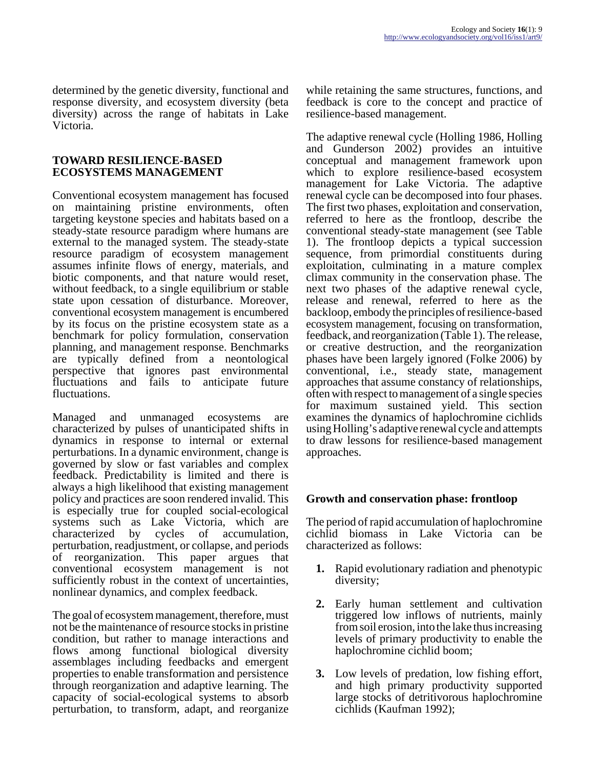determined by the genetic diversity, functional and response diversity, and ecosystem diversity (beta diversity) across the range of habitats in Lake Victoria.

#### **TOWARD RESILIENCE-BASED ECOSYSTEMS MANAGEMENT**

Conventional ecosystem management has focused on maintaining pristine environments, often targeting keystone species and habitats based on a steady-state resource paradigm where humans are external to the managed system. The steady-state resource paradigm of ecosystem management assumes infinite flows of energy, materials, and biotic components, and that nature would reset, without feedback, to a single equilibrium or stable state upon cessation of disturbance. Moreover, conventional ecosystem management is encumbered by its focus on the pristine ecosystem state as a benchmark for policy formulation, conservation planning, and management response. Benchmarks are typically defined from a neontological perspective that ignores past environmental fluctuations and fails to anticipate future fluctuations.

Managed and unmanaged ecosystems are characterized by pulses of unanticipated shifts in dynamics in response to internal or external perturbations. In a dynamic environment, change is governed by slow or fast variables and complex feedback. Predictability is limited and there is always a high likelihood that existing management policy and practices are soon rendered invalid. This is especially true for coupled social-ecological systems such as Lake Victoria, which are characterized by cycles of accumulation, perturbation, readjustment, or collapse, and periods of reorganization. This paper argues that conventional ecosystem management is not sufficiently robust in the context of uncertainties, nonlinear dynamics, and complex feedback.

The goal of ecosystem management, therefore, must not be the maintenance of resource stocks in pristine condition, but rather to manage interactions and flows among functional biological diversity assemblages including feedbacks and emergent properties to enable transformation and persistence through reorganization and adaptive learning. The capacity of social-ecological systems to absorb perturbation, to transform, adapt, and reorganize while retaining the same structures, functions, and feedback is core to the concept and practice of resilience-based management.

The adaptive renewal cycle (Holling 1986, Holling and Gunderson 2002) provides an intuitive conceptual and management framework upon which to explore resilience-based ecosystem management for Lake Victoria. The adaptive renewal cycle can be decomposed into four phases. The first two phases, exploitation and conservation, referred to here as the frontloop, describe the conventional steady-state management (see Table 1). The frontloop depicts a typical succession sequence, from primordial constituents during exploitation, culminating in a mature complex climax community in the conservation phase. The next two phases of the adaptive renewal cycle, release and renewal, referred to here as the backloop, embody the principles of resilience-based ecosystem management, focusing on transformation, feedback, and reorganization (Table 1). The release, or creative destruction, and the reorganization phases have been largely ignored (Folke 2006) by conventional, i.e., steady state, management approaches that assume constancy of relationships, often with respect to management of a single species for maximum sustained yield. This section examines the dynamics of haplochromine cichlids using Holling's adaptive renewal cycle and attempts to draw lessons for resilience-based management approaches.

## **Growth and conservation phase: frontloop**

The period of rapid accumulation of haplochromine cichlid biomass in Lake Victoria can be characterized as follows:

- **1.** Rapid evolutionary radiation and phenotypic diversity;
- **2.** Early human settlement and cultivation triggered low inflows of nutrients, mainly from soil erosion, into the lake thus increasing levels of primary productivity to enable the haplochromine cichlid boom;
- **3.** Low levels of predation, low fishing effort, and high primary productivity supported large stocks of detritivorous haplochromine cichlids (Kaufman 1992);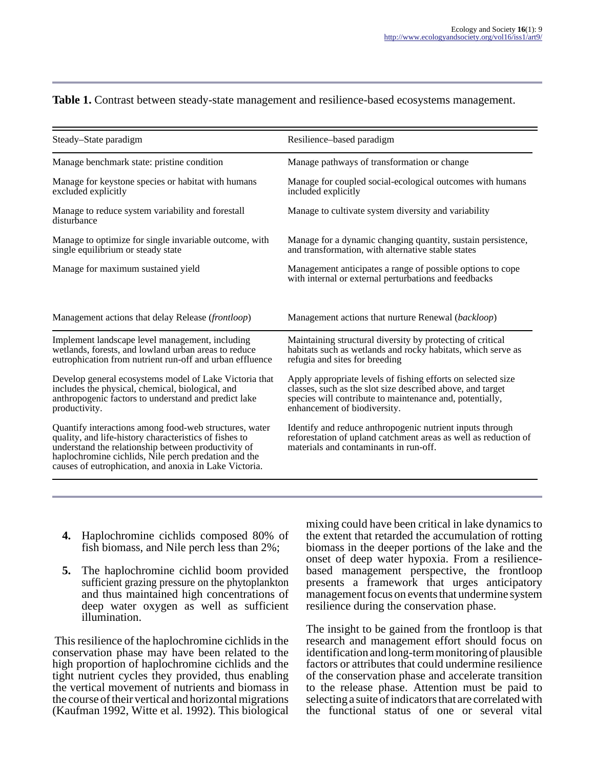#### **Table 1.** Contrast between steady-state management and resilience-based ecosystems management.

| Steady-State paradigm                                                                                                                                                                                                                                                                     | Resilience-based paradigm                                                                                                                                                                                              |
|-------------------------------------------------------------------------------------------------------------------------------------------------------------------------------------------------------------------------------------------------------------------------------------------|------------------------------------------------------------------------------------------------------------------------------------------------------------------------------------------------------------------------|
| Manage benchmark state: pristine condition                                                                                                                                                                                                                                                | Manage pathways of transformation or change                                                                                                                                                                            |
| Manage for keystone species or habitat with humans<br>excluded explicitly                                                                                                                                                                                                                 | Manage for coupled social-ecological outcomes with humans<br>included explicitly                                                                                                                                       |
| Manage to reduce system variability and forestall<br>disturbance                                                                                                                                                                                                                          | Manage to cultivate system diversity and variability                                                                                                                                                                   |
| Manage to optimize for single invariable outcome, with<br>single equilibrium or steady state                                                                                                                                                                                              | Manage for a dynamic changing quantity, sustain persistence,<br>and transformation, with alternative stable states                                                                                                     |
| Manage for maximum sustained yield                                                                                                                                                                                                                                                        | Management anticipates a range of possible options to cope<br>with internal or external perturbations and feedbacks                                                                                                    |
| Management actions that delay Release (frontloop)                                                                                                                                                                                                                                         | Management actions that nurture Renewal (backloop)                                                                                                                                                                     |
| Implement landscape level management, including<br>wetlands, forests, and lowland urban areas to reduce<br>eutrophication from nutrient run-off and urban effluence                                                                                                                       | Maintaining structural diversity by protecting of critical<br>habitats such as wetlands and rocky habitats, which serve as<br>refugia and sites for breeding                                                           |
| Develop general ecosystems model of Lake Victoria that<br>includes the physical, chemical, biological, and<br>anthropogenic factors to understand and predict lake<br>productivity.                                                                                                       | Apply appropriate levels of fishing efforts on selected size<br>classes, such as the slot size described above, and target<br>species will contribute to maintenance and, potentially,<br>enhancement of biodiversity. |
| Quantify interactions among food-web structures, water<br>quality, and life-history characteristics of fishes to<br>understand the relationship between productivity of<br>haplochromine cichlids, Nile perch predation and the<br>causes of eutrophication, and anoxia in Lake Victoria. | Identify and reduce anthropogenic nutrient inputs through<br>reforestation of upland catchment areas as well as reduction of<br>materials and contaminants in run-off.                                                 |

- **4.** Haplochromine cichlids composed 80% of fish biomass, and Nile perch less than 2%;
- **5.** The haplochromine cichlid boom provided sufficient grazing pressure on the phytoplankton and thus maintained high concentrations of deep water oxygen as well as sufficient illumination.

 This resilience of the haplochromine cichlids in the conservation phase may have been related to the high proportion of haplochromine cichlids and the tight nutrient cycles they provided, thus enabling the vertical movement of nutrients and biomass in the course of their vertical and horizontal migrations (Kaufman 1992, Witte et al. 1992). This biological

mixing could have been critical in lake dynamics to the extent that retarded the accumulation of rotting biomass in the deeper portions of the lake and the onset of deep water hypoxia. From a resiliencebased management perspective, the frontloop presents a framework that urges anticipatory management focus on events that undermine system resilience during the conservation phase.

The insight to be gained from the frontloop is that research and management effort should focus on identification and long-term monitoring of plausible factors or attributes that could undermine resilience of the conservation phase and accelerate transition to the release phase. Attention must be paid to selecting a suite of indicators that are correlated with the functional status of one or several vital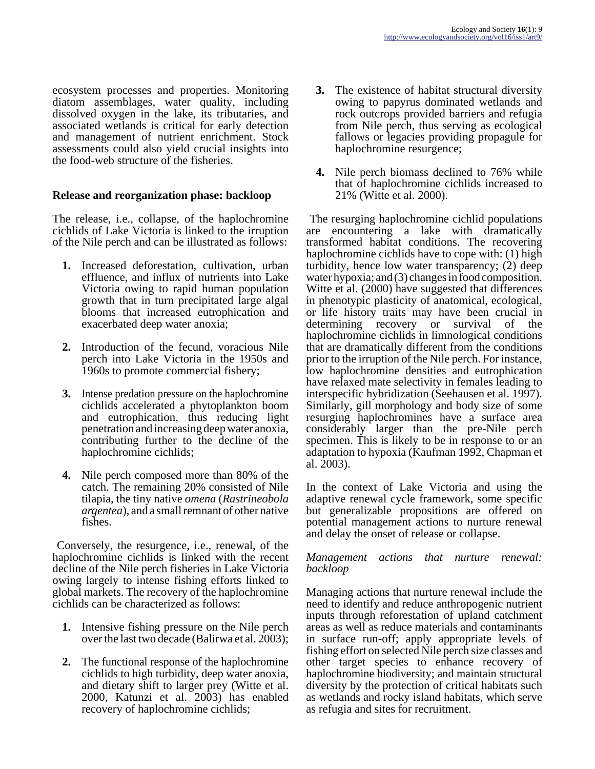ecosystem processes and properties. Monitoring diatom assemblages, water quality, including dissolved oxygen in the lake, its tributaries, and associated wetlands is critical for early detection and management of nutrient enrichment. Stock assessments could also yield crucial insights into the food-web structure of the fisheries.

## **Release and reorganization phase: backloop**

The release, i.e., collapse, of the haplochromine cichlids of Lake Victoria is linked to the irruption of the Nile perch and can be illustrated as follows:

- **1.** Increased deforestation, cultivation, urban effluence, and influx of nutrients into Lake Victoria owing to rapid human population growth that in turn precipitated large algal blooms that increased eutrophication and exacerbated deep water anoxia;
- **2.** Introduction of the fecund, voracious Nile perch into Lake Victoria in the 1950s and 1960s to promote commercial fishery;
- **3.** Intense predation pressure on the haplochromine cichlids accelerated a phytoplankton boom and eutrophication, thus reducing light penetration and increasing deep water anoxia, contributing further to the decline of the haplochromine cichlids;
- **4.** Nile perch composed more than 80% of the catch. The remaining 20% consisted of Nile tilapia, the tiny native *omena* (*Rastrineobola argentea*), and a small remnant of other native fishes.

 Conversely, the resurgence, i.e., renewal, of the haplochromine cichlids is linked with the recent decline of the Nile perch fisheries in Lake Victoria owing largely to intense fishing efforts linked to global markets. The recovery of the haplochromine cichlids can be characterized as follows:

- **1.** Intensive fishing pressure on the Nile perch over the last two decade (Balirwa et al. 2003);
- **2.** The functional response of the haplochromine cichlids to high turbidity, deep water anoxia, and dietary shift to larger prey (Witte et al. 2000, Katunzi et al. 2003) has enabled recovery of haplochromine cichlids;
- **3.** The existence of habitat structural diversity owing to papyrus dominated wetlands and rock outcrops provided barriers and refugia from Nile perch, thus serving as ecological fallows or legacies providing propagule for haplochromine resurgence;
- **4.** Nile perch biomass declined to 76% while that of haplochromine cichlids increased to 21% (Witte et al. 2000).

 The resurging haplochromine cichlid populations are encountering a lake with dramatically transformed habitat conditions. The recovering haplochromine cichlids have to cope with: (1) high turbidity, hence low water transparency; (2) deep water hypoxia; and (3) changes in food composition. Witte et al. (2000) have suggested that differences in phenotypic plasticity of anatomical, ecological, or life history traits may have been crucial in determining recovery or survival of the haplochromine cichlids in limnological conditions that are dramatically different from the conditions prior to the irruption of the Nile perch. For instance, low haplochromine densities and eutrophication have relaxed mate selectivity in females leading to interspecific hybridization (Seehausen et al. 1997). Similarly, gill morphology and body size of some resurging haplochromines have a surface area considerably larger than the pre-Nile perch specimen. This is likely to be in response to or an adaptation to hypoxia (Kaufman 1992, Chapman et al. 2003).

In the context of Lake Victoria and using the adaptive renewal cycle framework, some specific but generalizable propositions are offered on potential management actions to nurture renewal and delay the onset of release or collapse.

### *Management actions that nurture renewal: backloop*

Managing actions that nurture renewal include the need to identify and reduce anthropogenic nutrient inputs through reforestation of upland catchment areas as well as reduce materials and contaminants in surface run-off; apply appropriate levels of fishing effort on selected Nile perch size classes and other target species to enhance recovery of haplochromine biodiversity; and maintain structural diversity by the protection of critical habitats such as wetlands and rocky island habitats, which serve as refugia and sites for recruitment.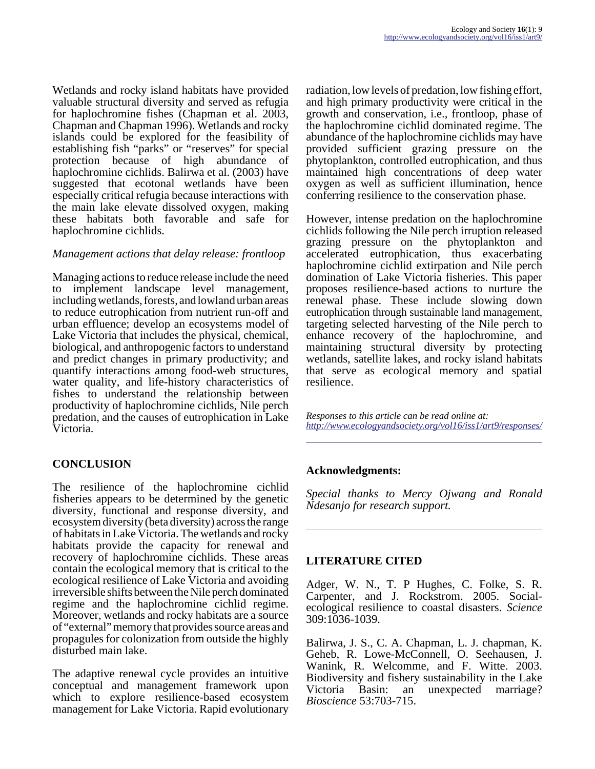Wetlands and rocky island habitats have provided valuable structural diversity and served as refugia for haplochromine fishes (Chapman et al. 2003, Chapman and Chapman 1996). Wetlands and rocky islands could be explored for the feasibility of establishing fish "parks" or "reserves" for special protection because of high abundance of haplochromine cichlids. Balirwa et al. (2003) have suggested that ecotonal wetlands have been especially critical refugia because interactions with the main lake elevate dissolved oxygen, making these habitats both favorable and safe for haplochromine cichlids.

### *Management actions that delay release: frontloop*

Managing actions to reduce release include the need to implement landscape level management, including wetlands, forests, and lowland urban areas to reduce eutrophication from nutrient run-off and urban effluence; develop an ecosystems model of Lake Victoria that includes the physical, chemical, biological, and anthropogenic factors to understand and predict changes in primary productivity; and quantify interactions among food-web structures, water quality, and life-history characteristics of fishes to understand the relationship between productivity of haplochromine cichlids, Nile perch predation, and the causes of eutrophication in Lake Victoria.

# **CONCLUSION**

The resilience of the haplochromine cichlid fisheries appears to be determined by the genetic diversity, functional and response diversity, and ecosystem diversity (beta diversity) across the range of habitats in Lake Victoria. The wetlands and rocky habitats provide the capacity for renewal and recovery of haplochromine cichlids. These areas contain the ecological memory that is critical to the ecological resilience of Lake Victoria and avoiding irreversible shifts between the Nile perch dominated regime and the haplochromine cichlid regime. Moreover, wetlands and rocky habitats are a source of "external" memory that provides source areas and propagules for colonization from outside the highly disturbed main lake.

The adaptive renewal cycle provides an intuitive conceptual and management framework upon which to explore resilience-based ecosystem management for Lake Victoria. Rapid evolutionary

radiation, low levels of predation, low fishing effort, and high primary productivity were critical in the growth and conservation, i.e., frontloop, phase of the haplochromine cichlid dominated regime. The abundance of the haplochromine cichlids may have provided sufficient grazing pressure on the phytoplankton, controlled eutrophication, and thus maintained high concentrations of deep water oxygen as well as sufficient illumination, hence conferring resilience to the conservation phase.

However, intense predation on the haplochromine cichlids following the Nile perch irruption released grazing pressure on the phytoplankton and accelerated eutrophication, thus exacerbating haplochromine cichlid extirpation and Nile perch domination of Lake Victoria fisheries. This paper proposes resilience-based actions to nurture the renewal phase. These include slowing down eutrophication through sustainable land management, targeting selected harvesting of the Nile perch to enhance recovery of the haplochromine, and maintaining structural diversity by protecting wetlands, satellite lakes, and rocky island habitats that serve as ecological memory and spatial resilience.

*Responses to this article can be read online at: <http://www.ecologyandsociety.org/vol16/iss1/art9/responses/>*

#### **Acknowledgments:**

*Special thanks to Mercy Ojwang and Ronald Ndesanjo for research support.* 

#### **LITERATURE CITED**

Adger, W. N., T. P Hughes, C. Folke, S. R. Carpenter, and J. Rockstrom. 2005. Socialecological resilience to coastal disasters. *Science* 309:1036-1039.

Balirwa, J. S., C. A. Chapman, L. J. chapman, K. Geheb, R. Lowe-McConnell, O. Seehausen, J. Wanink, R. Welcomme, and F. Witte. 2003. Biodiversity and fishery sustainability in the Lake<br>Victoria Basin: an unexpected marriage? unexpected marriage? *Bioscience* 53:703-715.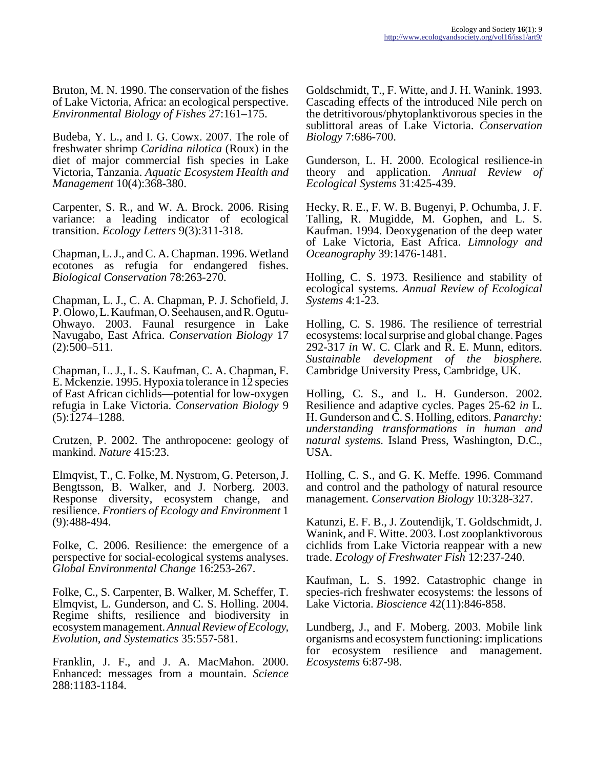Bruton, M. N. 1990. The conservation of the fishes of Lake Victoria, Africa: an ecological perspective. *Environmental Biology of Fishes* 27:161–175.

Budeba, Y. L., and I. G. Cowx. 2007. The role of freshwater shrimp *Caridina nilotica* (Roux) in the diet of major commercial fish species in Lake Victoria, Tanzania. *Aquatic Ecosystem Health and Management* 10(4):368-380.

Carpenter, S. R., and W. A. Brock. 2006. Rising variance: a leading indicator of ecological transition. *Ecology Letters* 9(3):311-318.

Chapman, L. J., and C. A. Chapman. 1996. Wetland ecotones as refugia for endangered fishes. *Biological Conservation* 78:263-270.

Chapman, L. J., C. A. Chapman, P. J. Schofield, J. P. Olowo, L. Kaufman, O. Seehausen, and R. Ogutu-Ohwayo. 2003. Faunal resurgence in Lake Navugabo, East Africa. *Conservation Biology* 17  $(2):500-511.$ 

Chapman, L. J., L. S. Kaufman, C. A. Chapman, F. E. Mckenzie. 1995. Hypoxia tolerance in 12 species of East African cichlids—potential for low-oxygen refugia in Lake Victoria. *Conservation Biology* 9 (5):1274–1288.

Crutzen, P. 2002. The anthropocene: geology of mankind. *Nature* 415:23.

Elmqvist, T., C. Folke, M. Nystrom, G. Peterson, J. Bengtsson, B. Walker, and J. Norberg. 2003. Response diversity, ecosystem change, and resilience. *Frontiers of Ecology and Environment* 1 (9):488-494.

Folke, C. 2006. Resilience: the emergence of a perspective for social-ecological systems analyses. *Global Environmental Change* 16:253-267.

Folke, C., S. Carpenter, B. Walker, M. Scheffer, T. Elmqvist, L. Gunderson, and C. S. Holling. 2004. Regime shifts, resilience and biodiversity in ecosystem management. *Annual Review of Ecology, Evolution, and Systematics* 35:557-581.

Franklin, J. F., and J. A. MacMahon. 2000. Enhanced: messages from a mountain. *Science* 288:1183-1184.

Goldschmidt, T., F. Witte, and J. H. Wanink. 1993. Cascading effects of the introduced Nile perch on the detritivorous/phytoplanktivorous species in the sublittoral areas of Lake Victoria. *Conservation Biology* 7:686-700.

Gunderson, L. H. 2000. Ecological resilience-in theory and application. *Annual Review of Ecological Systems* 31:425-439.

Hecky, R. E., F. W. B. Bugenyi, P. Ochumba, J. F. Talling, R. Mugidde, M. Gophen, and L. S. Kaufman. 1994. Deoxygenation of the deep water of Lake Victoria, East Africa. *Limnology and Oceanography* 39:1476-1481.

Holling, C. S. 1973. Resilience and stability of ecological systems. *Annual Review of Ecological Systems* 4:1-23.

Holling, C. S. 1986. The resilience of terrestrial ecosystems: local surprise and global change. Pages 292-317 *in* W. C. Clark and R. E. Munn, editors. *Sustainable development of the biosphere.* Cambridge University Press, Cambridge, UK.

Holling, C. S., and L. H. Gunderson. 2002. Resilience and adaptive cycles. Pages 25-62 *in* L. H. Gunderson and C. S. Holling, editors. *Panarchy: understanding transformations in human and natural systems.* Island Press, Washington, D.C., USA.

Holling, C. S., and G. K. Meffe. 1996. Command and control and the pathology of natural resource management. *Conservation Biology* 10:328-327.

Katunzi, E. F. B., J. Zoutendijk, T. Goldschmidt, J. Wanink, and F. Witte. 2003. Lost zooplanktivorous cichlids from Lake Victoria reappear with a new trade. *Ecology of Freshwater Fish* 12:237-240.

Kaufman, L. S. 1992. Catastrophic change in species-rich freshwater ecosystems: the lessons of Lake Victoria. *Bioscience* 42(11):846-858.

Lundberg, J., and F. Moberg. 2003. Mobile link organisms and ecosystem functioning: implications for ecosystem resilience and management. *Ecosystems* 6:87-98.